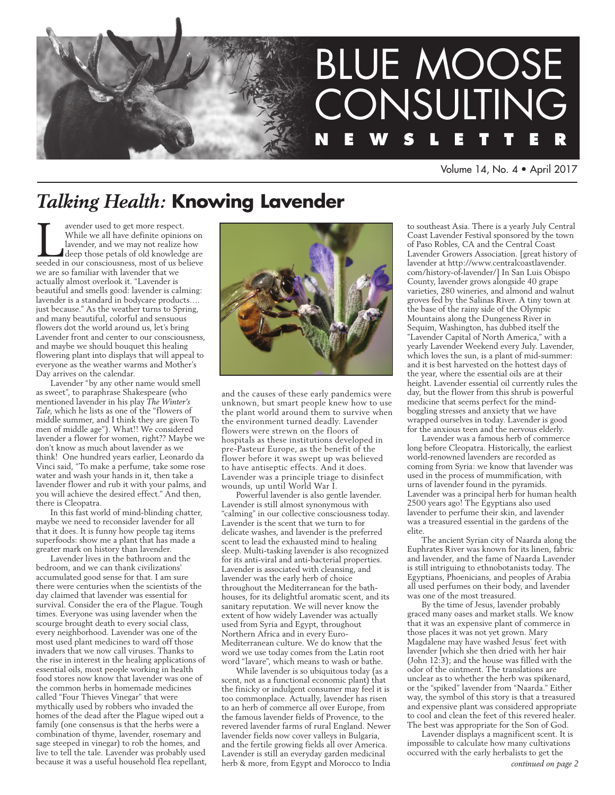

Volume 14, No. 4 • April 2017

# *Talking Health:* **Knowing Lavender**

While we all have definite opinions on<br>lavender, and we may not realize how<br>deep those petals of old knowledge are<br>seeded in our consciousness, most of us believe While we all have definite opinions on lavender, and we may not realize how deep those petals of old knowledge are we are so familiar with lavender that we actually almost overlook it. "Lavender is beautiful and smells good: lavender is calming: lavender is a standard in bodycare products…. just because." As the weather turns to Spring, and many beautiful, colorful and sensuous flowers dot the world around us, let's bring Lavender front and center to our consciousness, and maybe we should bouquet this healing flowering plant into displays that will appeal to everyone as the weather warms and Mother's Day arrives on the calendar.

Lavender "by any other name would smell as sweet", to paraphrase Shakespeare (who mentioned lavender in his play *The Winter's Tale*, which he lists as one of the "flowers of middle summer, and I think they are given To men of middle age"). What!! We considered lavender a flower for women, right?? Maybe we don't know as much about lavender as we think! One hundred years earlier, Leonardo da Vinci said, "To make a perfume, take some rose water and wash your hands in it, then take a lavender flower and rub it with your palms, and you will achieve the desired effect." And then, there is Cleopatra.

In this fast world of mind-blinding chatter, maybe we need to reconsider lavender for all that it does. It is funny how people tag items superfoods: show me a plant that has made a greater mark on history than lavender.

Lavender lives in the bathroom and the bedroom, and we can thank civilizations' accumulated good sense for that. I am sure there were centuries when the scientists of the day claimed that lavender was essential for survival. Consider the era of the Plague. Tough times. Everyone was using lavender when the scourge brought death to every social class, every neighborhood. Lavender was one of the most used plant medicines to ward off those invaders that we now call viruses. Thanks to the rise in interest in the healing applications of essential oils, most people working in health food stores now know that lavender was one of the common herbs in homemade medicines called "Four Thieves Vinegar" that were mythically used by robbers who invaded the homes of the dead after the Plague wiped out a family (one consensus is that the herbs were a combination of thyme, lavender, rosemary and sage steeped in vinegar) to rob the homes, and live to tell the tale. Lavender was probably used because it was a useful household flea repellant,



and the causes of these early pandemics were unknown, but smart people knew how to use the plant world around them to survive when the environment turned deadly. Lavender flowers were strewn on the floors of hospitals as these institutions developed in pre-Pasteur Europe, as the benefit of the flower before it was swept up was believed to have antiseptic effects. And it does. Lavender was a principle triage to disinfect wounds, up until World War I.

Powerful lavender is also gentle lavender. Lavender is still almost synonymous with "calming" in our collective consciousness today. Lavender is the scent that we turn to for delicate washes, and lavender is the preferred scent to lead the exhausted mind to healing sleep. Multi-tasking lavender is also recognized for its anti-viral and anti-bacterial properties. Lavender is associated with cleansing, and lavender was the early herb of choice throughout the Mediterranean for the bathhouses, for its delightful aromatic scent, and its sanitary reputation. We will never know the extent of how widely Lavender was actually used from Syria and Egypt, throughout Northern Africa and in every Euro-Mediterranean culture. We do know that the word we use today comes from the Latin root word "lavare", which means to wash or bathe.

While lavender is so ubiquitous today (as a scent, not as a functional economic plant) that the finicky or indulgent consumer may feel it is too commonplace. Actually, lavender has risen to an herb of commerce all over Europe, from the famous lavender fields of Provence, to the revered lavender farms of rural England. Newer lavender fields now cover valleys in Bulgaria, and the fertile growing fields all over America. Lavender is still an everyday garden medicinal herb & more, from Egypt and Morocco to India

to southeast Asia. There is a yearly July Central Coast Lavender Festival sponsored by the town of Paso Robles, CA and the Central Coast Lavender Growers Association. [great history of lavender at http://www.centralcoastlavender. com/history-of-lavender/] In San Luis Obispo County, lavender grows alongside 40 grape varieties, 280 wineries, and almond and walnut groves fed by the Salinas River. A tiny town at the base of the rainy side of the Olympic Mountains along the Dungeness River in Sequim, Washington, has dubbed itself the "Lavender Capital of North America," with a yearly Lavender Weekend every July. Lavender, which loves the sun, is a plant of mid-summer: and it is best harvested on the hottest days of the year, where the essential oils are at their height. Lavender essential oil currently rules the day, but the flower from this shrub is powerful medicine that seems perfect for the mindboggling stresses and anxiety that we have wrapped ourselves in today. Lavender is good for the anxious teen and the nervous elderly.

Lavender was a famous herb of commerce long before Cleopatra. Historically, the earliest world-renowned lavenders are recorded as coming from Syria: we know that lavender was used in the process of mummification, with urns of lavender found in the pyramids. Lavender was a principal herb for human health 2500 years ago! The Egyptians also used lavender to perfume their skin, and lavender was a treasured essential in the gardens of the elite.

The ancient Syrian city of Naarda along the Euphrates River was known for its linen, fabric and lavender, and the fame of Naarda Lavender is still intriguing to ethnobotanists today. The Egyptians, Phoenicians, and peoples of Arabia all used perfumes on their body, and lavender was one of the most treasured.

By the time of Jesus, lavender probably graced many oases and market stalls. We know that it was an expensive plant of commerce in those places it was not yet grown. Mary Magdalene may have washed Jesus' feet with lavender [which she then dried with her hair (John 12:3); and the house was filled with the odor of the ointment. The translations are unclear as to whether the herb was spikenard, or the "spiked" lavender from "Naarda." Either way, the symbol of this story is that a treasured and expensive plant was considered appropriate to cool and clean the feet of this revered healer. The best was appropriate for the Son of God.

Lavender displays a magnificent scent. It is impossible to calculate how many cultivations occurred with the early herbalists to get the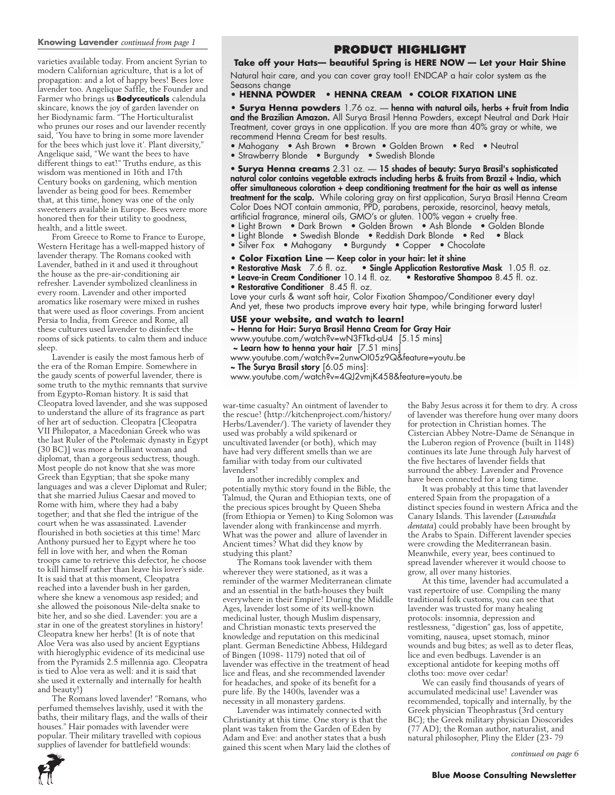### **Knowing Lavender** *continued from page 1*

varieties available today. From ancient Syrian to modern Californian agriculture, that is a lot of propagation: and a lot of happy bees! Bees love lavender too. Angelique Saffle, the Founder and Farmer who brings us **Bodyceuticals** calendula skincare, knows the joy of garden lavender on her Biodynamic farm. "The Horticulturalist who prunes our roses and our lavender recently said, 'You have to bring in some more lavender for the bees which just love it'. Plant diversity," Angelique said, "We want the bees to have different things to eat!" Truths endure, as this wisdom was mentioned in 16th and 17th Century books on gardening, which mention lavender as being good for bees. Remember that, at this time, honey was one of the only sweeteners available in Europe. Bees were more honored then for their utility to goodness, health, and a little sweet.

From Greece to Rome to France to Europe, Western Heritage has a well-mapped history of lavender therapy. The Romans cooked with Lavender, bathed in it and used it throughout the house as the pre-air-conditioning air refresher. Lavender symbolized cleanliness in every room. Lavender and other imported aromatics like rosemary were mixed in rushes that were used as floor coverings. From ancient Persia to India, from Greece and Rome, all these cultures used lavender to disinfect the rooms of sick patients. to calm them and induce sleep.

Lavender is easily the most famous herb of the era of the Roman Empire. Somewhere in the gaudy scents of powerful lavender, there is some truth to the mythic remnants that survive from Egypto-Roman history. It is said that Cleopatra loved lavender, and she was supposed to understand the allure of its fragrance as part of her art of seduction. Cleopatra [Cleopatra VII Philopator, a Macedonian Greek who was the last Ruler of the Ptolemaic dynasty in Egypt (30 BC)] was more a brilliant woman and diplomat, than a gorgeous seductress, though. Most people do not know that she was more Greek than Egyptian; that she spoke many languages and was a clever Diplomat and Ruler; that she married Julius Caesar and moved to Rome with him, where they had a baby together; and that she fled the intrigue of the court when he was assassinated. Lavender flourished in both societies at this time! Marc Anthony pursued her to Egypt where he too fell in love with her, and when the Roman troops came to retrieve this defector, he choose to kill himself rather than leave his lover's side. It is said that at this moment, Cleopatra reached into a lavender bush in her garden, where she knew a venomous asp resided; and she allowed the poisonous Nile-delta snake to bite her, and so she died. Lavender: you are a star in one of the greatest storylines in history! Cleopatra knew her herbs! (It is of note that Aloe Vera was also used by ancient Egyptians with hieroglyphic evidence of its medicinal use from the Pyramids 2.5 millennia ago. Cleopatra is tied to Aloe vera as well: and it is said that she used it externally and internally for health and beauty!)

The Romans loved lavender! "Romans, who perfumed themselves lavishly, used it with the baths, their military flags, and the walls of their houses." Hair pomades with lavender were popular. Their military travelled with copious supplies of lavender for battlefield wounds:

### **Product HIGHLIGHT**

### **Take off your Hats— beautiful Spring is HERE NOW — Let your Hair Shine**

Natural hair care, and you can cover gray too!! ENDCAP a hair color system as the Seasons change

### **• HENNA POWDER • HENNA CREAM • COLOR FIXATION LINE**

**• Surya Henna powders** 1.76 oz. — henna with natural oils, herbs + fruit from India and the Brazilian Amazon. All Surya Brasil Henna Powders, except Neutral and Dark Hair Treatment, cover grays in one application. If you are more than 40% gray or white, we recommend Henna Cream for best results.

- Mahogany Ash Brown Brown Golden Brown Red Neutral
- Strawberry Blonde Burgundy Swedish Blonde

• **Surya Henna creams** 2.31 oz. — 15 shades of beauty: Surya Brasil's sophisticated natural color contains vegetable extracts including herbs & fruits from Brazil + India, which offer simultaneous coloration + deep conditioning treatment for the hair as well as intense treatment for the scalp. While coloring gray on first application, Surya Brasil Henna Cream Color Does NOT contain ammonia, PPD, parabens, peroxide, resorcinol, heavy metals, artificial fragrance, mineral oils, GMO's or gluten. 100% vegan + cruelty free.

- Light Brown Dark Brown Golden Brown Ash Blonde Golden Blonde
- Light Blonde Swedish Blonde Reddish Dark Blonde Red Black<br>• Silver Fox Mahogany Burgundy Copper Chocolate
- Burgundy Copper Chocolate
- 
- **Color Fixation Line** Keep color in your hair: let it shine<br>• Restorative Mask 7.6 fl. oz. Single Application Restora • Single Application Restorative Mask 1.05 fl. oz.
- Leave-in Cream Conditioner 10.14 fl. oz. Restorative Shampoo 8.45 fl. oz.
- Restorative Conditioner 8.45 fl. oz.

Love your curls & want soft hair, Color Fixation Shampoo/Conditioner every day! And yet, these two products improve every hair type, while bringing forward luster!

### **USE your website, and watch to learn!**

~ Henna for Hair: Surya Brasil Henna Cream for Gray Hair www.youtube.com/watch?v=wN3FTkd-aU4 [5.15 mins]

~ Learn how to henna your hair [7.51 mins]

www.youtube.com/watch?v=2unwOI05z9Q&feature=youtu.be

~ The Surya Brasil story [6.05 mins]:

www.youtube.com/watch?v=4QJ2vmjK458&feature=youtu.be

war-time casualty? An ointment of lavender to the rescue! (http://kitchenproject.com/history/ Herbs/Lavender/). The variety of lavender they used was probably a wild spikenard or uncultivated lavender (or both), which may have had very different smells than we are familiar with today from our cultivated lavenders!

In another incredibly complex and potentially mythic story found in the Bible, the Talmud, the Quran and Ethiopian texts, one of the precious spices brought by Queen Sheba (from Ethiopia or Yemen) to King Solomon was lavender along with frankincense and myrrh. What was the power and allure of lavender in Ancient times? What did they know by studying this plant?

The Romans took lavender with them wherever they were stationed, as it was a reminder of the warmer Mediterranean climate and an essential in the bath-houses they built everywhere in their Empire! During the Middle Ages, lavender lost some of its well-known medicinal luster, though Muslim dispensary, and Christian monastic texts preserved the knowledge and reputation on this medicinal plant. German Benedictine Abbess, Hildegard of Bingen (1098- 1179) noted that oil of lavender was effective in the treatment of head lice and fleas, and she recommended lavender for headaches, and spoke of its benefit for a pure life. By the 1400s, lavender was a necessity in all monastery gardens.

Lavender was intimately connected with Christianity at this time. One story is that the plant was taken from the Garden of Eden by Adam and Eve: and another states that a bush gained this scent when Mary laid the clothes of the Baby Jesus across it for them to dry. A cross of lavender was therefore hung over many doors for protection in Christian homes. The Cistercian Abbey Notre-Dame de Sénanque in the Luberon region of Provence (built in 1148) continues its late June through July harvest of the five hectares of lavender fields that surround the abbey. Lavender and Provence have been connected for a long time.

It was probably at this time that lavender entered Spain from the propagation of a distinct species found in western Africa and the Canary Islands. This lavender (*Lavandula dentata*) could probably have been brought by the Arabs to Spain. Different lavender species were crowding the Mediterranean basin. Meanwhile, every year, bees continued to spread lavender wherever it would choose to grow, all over many histories.

At this time, lavender had accumulated a vast repertoire of use. Compiling the many traditional folk customs, you can see that lavender was trusted for many healing protocols: insomnia, depression and restlessness, "digestion" gas, loss of appetite, vomiting, nausea, upset stomach, minor wounds and bug bites; as well as to deter fleas, lice and even bedbugs. Lavender is an exceptional antidote for keeping moths off cloths too: move over cedar!

We can easily find thousands of years of accumulated medicinal use! Lavender was recommended, topically and internally, by the Greek physician Theophrastus (3rd century BC); the Greek military physician Dioscorides (77 AD); the Roman author, naturalist, and natural philosopher, Pliny the Elder (23- 79

*continued on page 6*

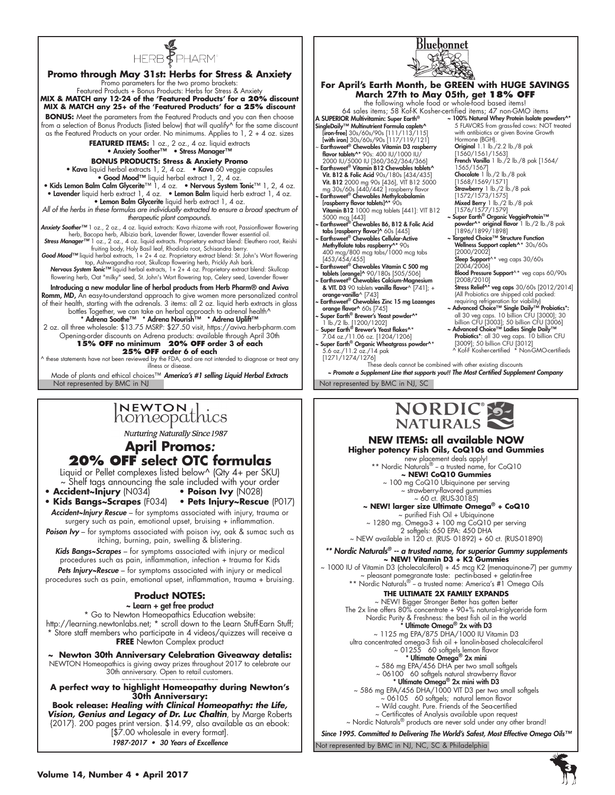



**Nurturing Naturally Since 1987** 

### **April Promos***:*  **20% OFF select OTC formulas**

Liquid or Pellet complexes listed below^ (Qty 4+ per SKU) ~ Shelf tags announcing the sale included with your order

- **Accident~Injury** (N034)  **Poison Ivy** (N028) **• Kids Bangs~Scrapes** (F034) **• Pets Injury~Rescue** (P017)
- *Accident~Injury Rescue* for symptoms associated with injury, trauma or surgery such as pain, emotional upset, bruising + inflammation.
- *Poison Ivy*  for symptoms associated with poison ivy, oak & sumac such as itching, burning, pain, swelling & blistering.

*Kids Bangs~Scrapes* – for symptoms associated with injury or medical procedures such as pain, inflammation, infection + trauma for Kids

*Pets Injury~Rescue* – for symptoms associated with injury or medical procedures such as pain, emotional upset, inflammation, trauma + bruising.

### **Product NOTES:**

~ Learn + get free product

\* Go to Newton Homeopathics Education website: http://learning.newtonlabs.net; \* scroll down to the Learn Stuff-Earn Stuff; \* Store staff members who participate in 4 videos/quizzes will receive a **FREE** Newton Complex product

**~ Newton 30th Anniversary Celebration Giveaway detalis:** NEWTON Homeopathics is giving away prizes throughout 2017 to celebrate our 30th anniversary. Open to retail customers.

~~~~~~~~~~~~~~~~~~~~~~~~~~~ **A perfect way to highlight Homeopathy during Newton's 30th Anniversary: Book release:** *Healing with Clinical Homeopathy: the Life,* 

*Vision, Genius and Legacy of Dr. Luc Chaltin*, by Marge Roberts {2017}. 200 pages print version. \$14.99, also available as an ebook: [\$7.00 wholesale in every format].

1987-2017 • 30 Years of Excellence

**Higher potency Fish Oils, CoQ10s and Gummies**  new placement deals apply!<br>\*\* Nordic Naturals® – a trusted name, for CoQ10 **~ NEW! CoQ10 Gummies**

**NEW ITEMS: all available NOW**

Bluebonnet

~ 100 mg CoQ10 Ubiquinone per serving ~ strawberry-flavored gummies  $~\sim$  60 cf. (RUS-30185)

**~ NEW! larger size Ultimate Omega® + CoQ10**  ~ purified Fish Oil + Ubiquinone ~ 1280 mg. Omega-3 + 100 mg CoQ10 per serving

2 softgels: 650 EPA: 450 DHA ~ NEW available in 120 ct. (RUS- 01892) + 60 ct. (RUS-01890)

### *\*\* Nordic Naturals® -- a trusted name, for superior Gummy supplements* **~ NEW! Vitamin D3 + K2 Gummies**

~ 1000 IU of Vitamin D3 (cholecalciferol) + 45 mcg K2 (menaquinone-7) per gummy ~ pleasant pomegranate taste: pectin-based + gelatin-free \*\* Nordic Naturals® - a trusted name: America's #1 Omega Oils

### **THE ULTIMATE 2X FAMILY EXPANDS**

~ NEW! Bigger Stronger Better has gotten better The 2x line offers 80% concentrate + 90+% natural-triglyceride form Nordic Purity & Freshness: the best fish oil in the world<br>\* **Ultimate Omega® 2x with D3** ~ 1125 mg EPA/875 DHA/1000 IU Vitamin D3

ultra concentrated omega-3 fish oil + lanolin-based cholecalciferol ~ 01255 60 softgels lemon flavor

- \* Ultimate Omega® 2x mini
- ~ 586 mg EPA/456 DHA per two small softgels
- ~ 06100 60 softgels natural strawberry flavor<br>**\* Ultimate Omega® 2x mini with D3**
- ~ 586 mg EPA/456 DHA/1000 VIT D3 per two small softgels ~ 06105 60 softgels; natural lemon flavor
	- ~ Wild caught. Pure. Friends of the Sea-certified
	- ~ Certificates of Analysis available upon request

~ Nordic Naturals® products are never sold under any other brand!

Not represented by BMC in NJ, NC, SC & Philadelphia *Since 1995. Committed to Delivering The World's Safest, Most Effective Omega Oils™*

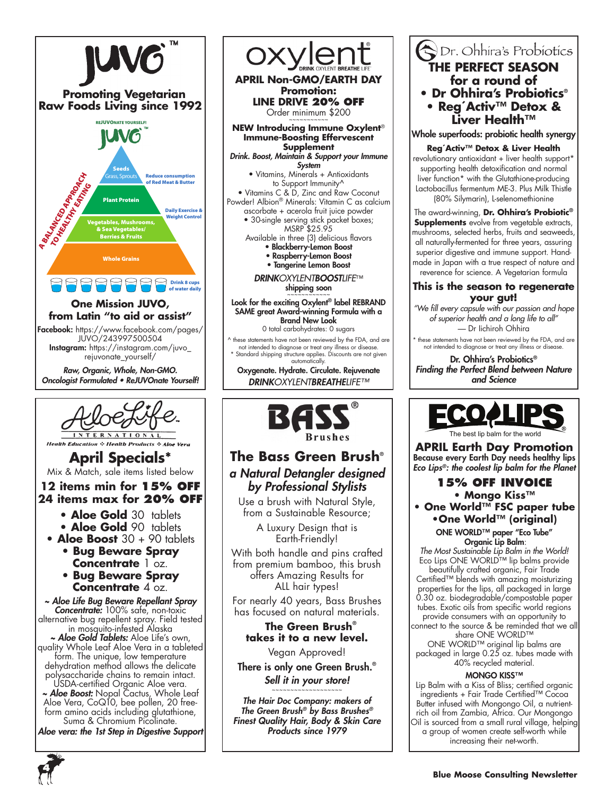



**Health Education : Health Products : Aloe Vera** 

# **April Specials\***

Mix & Match, sale items listed below

### **12 items min for 15% off 24 items max for 20% off**

- **Aloe Gold** 30 tablets
- **Aloe Gold** 90 tablets
- **Aloe Boost** 30 + 90 tablets
	- **Bug Beware Spray**
	- **Concentrate** 1 oz.
	- **Bug Beware Spray Concentrate** 4 oz.

*~ Aloe Life Bug Beware Repellant Spray Concentrate:* 100% safe, non-toxic alternative bug repellent spray. Field tested in mosquito-infested Alaska

*~ Aloe Gold Tablets:* Aloe Life's own, quality Whole Leaf Aloe Vera in a tableted form. The unique, low temperature dehydration method allows the delicate polysaccharide chains to remain intact.

USDA-certified Organic Aloe vera. *~ Aloe Boost:* Nopal Cactus, Whole Leaf Aloe Vera, CoQ10, bee pollen, 20 freeform amino acids including glutathione, Suma & Chromium Picolinate.

*Aloe vera: the 1st Step in Digestive Support*

oxvler **APRIL Non-GMO/EARTH DAY Promotion: LINE DRIVE 20% OFF** Order minimum \$200 **NEW Introducing Immune Oxylent**® **Immune-Boosting Effervescent Supplement**  *Drink. Boost, Maintain & Support your Immune* 

*System* • Vitamins, Minerals + Antioxidants to Support Immunity^

• Vitamins C & D, Zinc and Raw Coconut Powder! Albion® Minerals: Vitamin C as calcium

ascorbate + acerola fruit juice powder • 30-single serving stick packet boxes; MSRP \$25.95

Available in three (3) delicious flavors • Blackberry-Lemon Boost

• Raspberry-Lemon Boost

• Tangerine Lemon Boost

*DRINKOXYLENTBOOSTLIFE*™ shipping soon

~~~~~~~~~ Look for the exciting Oxylent® label REBRAND SAME great Award-winning Formula with a Brand New Look

0 total carbohydrates: 0 sugars

^ these statements have not been reviewed by the FDA, and are not intended to diagnose or treat any illness or disease. Standard shipping structure applies. Discounts are not given automatically.

Oxygenate. Hydrate. Circulate. Rejuvenate *DRINKOXYLENTBREATHELIFE™*



### **The Bass Green Brush**® *a Natural Detangler designed by Professional Stylists*

Use a brush with Natural Style, from a Sustainable Resource;

> A Luxury Design that is Earth-Friendly!

With both handle and pins crafted from premium bamboo, this brush offers Amazing Results for ALL hair types!

For nearly 40 years, Bass Brushes has focused on natural materials.

### **The Green Brush**® **takes it to a new level.**

Vegan Approved!

There is only one Green Brush.® *Sell it in your store!*

~~~~~~~~~~~~~~~~~~~ *The Hair Doc Company: makers of The Green Brush® by Bass Brushes® Finest Quality Hair, Body & Skin Care Products since 1979*

### Dr. Ohhira's Probiotics **THE PERFECT SEASON for a round of • Dr Ohhira's Probiotics® • Reg´Activ™ Detox & Liver Health™**

Whole superfoods: probiotic health synergy

**Reg´Activ™ Detox & Liver Health** revolutionary antioxidant + liver health support\* supporting health detoxification and normal liver function\* with the Glutathione-producing Lactobacillus fermentum ME-3. Plus Milk Thistle (80% Silymarin), L-selenomethionine

The award-winning, **Dr. Ohhira's Probiotic® Supplements** evolve from vegetable extracts, mushrooms, selected herbs, fruits and seaweeds, all naturally-fermented for three years, assuring superior digestive and immune support. Handmade in Japan with a true respect of nature and reverence for science. A Vegetarian formula

### **This is the season to regenerate your gut!**

*"We fill every capsule with our passion and hope of superior health and a long life to all"* — Dr Iichiroh Ohhira

these statements have not been reviewed by the FDA, and are not intended to diagnose or treat any illness or disease.

Dr. Ohhira's Probiotics® *Finding the Perfect Blend between Nature and Science*



**APRIL Earth Day Promotion** Because every Earth Day needs healthy lips *Eco Lips®: the coolest lip balm for the Planet*

# **15% Off invoice**

**• Mongo Kiss™ • One World™ FSC paper tube •One World™ (original)** ONE WORLD™ paper "Eco Tube"

 Organic Lip Balm: *The Most Sustainable Lip Balm in the World!* Eco Lips ONE WORLD™ lip balms provide beautifully crafted organic, Fair Trade Certified™ blends with amazing moisturizing

properties for the lips, all packaged in large 0.30 oz. biodegradable/compostable paper tubes. Exotic oils from specific world regions provide consumers with an opportunity to

connect to the source & be reminded that we all share ONE WORLD™

ONE WORLD™ original lip balms are packaged in large 0.25 oz. tubes made with 40% recycled material.

### **MONGO KISS™**

Lip Balm with a Kiss of Bliss; certified organic ingredients + Fair Trade Certified™ Cocoa Butter infused with Mongongo Oil, a nutrientrich oil from Zambia, Africa. Our Mongongo Oil is sourced from a small rural village, helping a group of women create self-worth while increasing their net-worth.

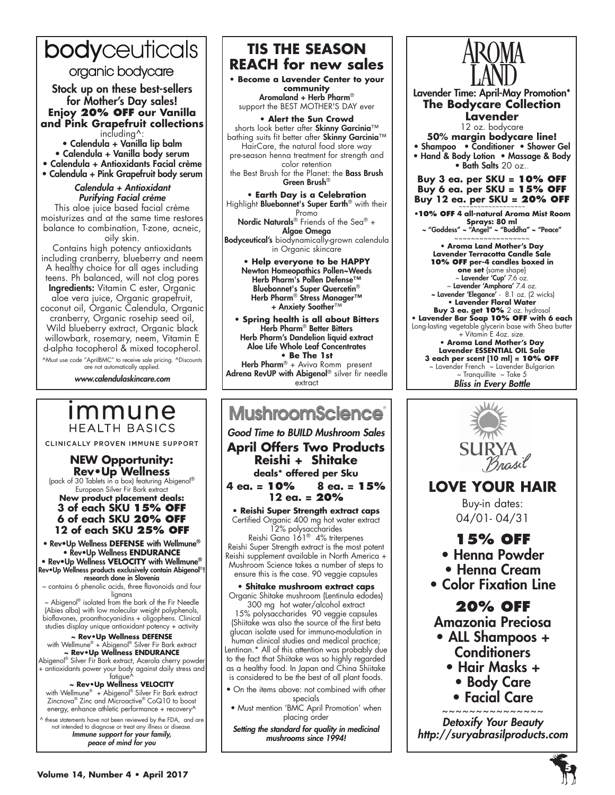# bodyceuticals

organic bodycare

Stock up on these best-sellers for Mother's Day sales! **Enjoy 20% OFF our Vanilla and Pink Grapefruit collections**  including^:

• Calendula + Vanilla lip balm • Calendula + Vanilla body serum • Calendula + Antioxidants Facial crème

• Calendula + Pink Grapefruit body serum

Calendula + Antioxidant *Purifying Facial crème* This aloe juice based facial crème moisturizes and at the same time restores balance to combination, T-zone, acneic,

oily skin. Contains high potency antioxidants including cranberry, blueberry and neem A healthy choice for all ages including teens. Ph balanced, will not clog pores **Ingredients:** Vitamin C ester, Organic aloe vera juice, Organic grapefruit, coconut oil, Organic Calendula, Organic cranberry, Organic rosehip seed oil, Wild blueberry extract, Organic black willowbark, rosemary, neem, Vitamin E d-alpha tocopherol & mixed tocopherol.

^Must use code "AprilBMC" to receive sale pricing. ^Discounts are not automatically applied.

*www.calendulaskincare.com*

# *Immune* **HEALTH BASICS**

CLINICALLY PROVEN IMMUNE SUPPORT

### **NEW Opportunity: Rev•Up Wellness**

(pack of 30 Tablets in a box) featuring Abigenol® European Silver Fir Bark extract

### **New product placement deals: 3 of each SKU 15% OFF 6 of each SKU 20% OFF 12 of each SKU 25% OFF**

• Rev•Up Wellness **DEFENSE** with Wellmune® • Rev•Up Wellness **ENDURANCE**  • Rev•Up Wellness **VELOCITY** with Wellmune®

Rev•Up Wellness products exclusively contain Abigenol®! research done in Slovenia

~ contains 6 phenolic acids, three flavonoids and four

lignans<br>hignans – Abigenol® isolated from the bark of the Fir Needle – (Abies alba) with low molecular weight polyphenols, bioflavones, proanthocyanidins + oligophens. Clinical studies display unique antioxidant potency + activity

# **\* Rev∙Up Wellness DEFENSE<br>with Wellmune® + Abigenol® Silver Fir Bark extract<br><b>~ Rev∙Up Wellness ENDURANCE** ∾

Abigenol® Silver Fir Bark extract, Acerola cherry powder + antioxidants power your body against daily stress and

### fatigue^

**~ Rev•Up Wellness VELOCITY**  with Wellmune® + Abigenol® Silver Fir Bark extract Zincnova® Zinc and Microactive® CoQ10 to boost energy, enhance athletic performance + recovery^

^ these statements have not been reviewed by the FDA, and are not intended to diagnose or treat any illness or disease. *Immune support for your family, peace of mind for you*

### **TIS THE SEASON REACH for new sales**

**• Become a Lavender Center to your community** Aromaland + Herb Pharm® support the BEST MOTHER'S DAY ever

**• Alert the Sun Crowd** shorts look better after Skinny Garcinia™ bathing suits fit better after Skinny Garcinia™ HairCare, the natural food store way pre-season henna treatment for strength and color retention the Best Brush for the Planet: the Bass Brush Green Brush®

**• Earth Day is a Celebration** Highlight Bluebonnet's Super Earth® with their Promo Nordic Naturals® Friends of the Sea® +

Algae Omega Bodyceutical's biodynamically-grown calendula in Organic skincare

**• Help everyone to be HAPPY** Newton Homeopathics Pollen~Weeds Herb Pharm's Pollen Defense™ Bluebonnet's Super Quercetin® Herb Pharm® Stress Manager™ + Anxiety Soother™

**• Spring health is all about Bitters** Herb Pharm® Better Bitters Herb Pharm's Dandelion liquid extract Aloe Life Whole Leaf Concentrates **• Be The 1st** Herb Pharm<sup>®</sup> + Aviva Romm present Adrena RevUP with Abigenol® silver fir needle extract

# **MushroomScience**

Good Time to BUILD Mushroom Sales **April Offers Two Products Reishi + Shitake deals\* offered per Sku**

**4 ea. = 10% 8 ea. = 15% 12 ea. = 20%**

**• Reishi Super Strength extract caps**  Certified Organic 400 mg hot water extract 12% polysaccharides Reishi Gano 161® 4% triterpenes Reishi Super Strength extract is the most potent

Reishi supplement available in North America + Mushroom Science takes a number of steps to ensure this is the case. 90 veggie capsules

### **• Shitake mushroom extract caps**

Organic Shitake mushroom (Lentinula edodes) 300 mg hot water/alcohol extract 15% polysaccharides 90 veggie capsules

(Shiitake was also the source of the first beta glucan isolate used for immuno-modulation in human clinical studies and medical practice; Lentinan.\* All of this attention was probably due to the fact that Shiitake was so highly regarded as a healthy food. In Japan and China Shiitake is considered to be the best of all plant foods.

- On the items above: not combined with other specials
- Must mention 'BMC April Promotion' when placing order

*Setting the standard for quality in medicinal mushrooms since 1994!*



Lavender Time: April-May Promotion\* **The Bodycare Collection Lavender**

12 oz. bodycare **50% margin bodycare line!** • Shampoo • Conditioner • Shower Gel • Hand & Body Lotion • Massage & Body • Bath Salts 20 oz..

**Buy 3 ea. per SKU = 10% OFF Buy 6 ea. per SKU = 15% OFF** Buy 12 ea. per SKU = 20% OFF

**•10% OFF 4 all-natural Aroma Mist Room Sprays: 80 ml**  ~ "Goddess" ~ "Angel" ~ "Buddha" ~ "Peace"

~~~~~~~~~~~~~~~~~~ **• Aroma Land Mother's Day Lavender Terracotta Candle Sale**

**10% OFF per-4 candles boxed in one set** {same shape} ~ Lavender 'Cup' 7.6 oz. ~ Lavender 'Amphora' 7.4 oz. ~ Lavender 'Elegance' - 8.1 oz. (2 wicks) **• Lavender Floral Water Buy 3 ea. get 10%** 2 oz. hydrosol **• Lavender Bar Soap 10% OFF with 6 each**  Long-lasting vegetable glycerin base with Shea butter + Vitamin E 4oz. size. **• Aroma Land Mother's Day Lavender ESSENTIAL OIL Sale 3 each per scent [10 ml] = 10% OFF** ~ Lavender French ~ Lavender Bulgarian

> $\sim$  Tranquillite  $\sim$  Take 5 *Bliss in Every Bottle*



# **LOVE YOUR HAIR**

Buy-in dates: 04/01- 04/31

### **15% OFF**

- Henna Powder
- Henna Cream
- Color Fixation Line

# **20% OFF**

Amazonia Preciosa

- ALL Shampoos + **Conditioners** 
	- Hair Masks +
		- Body Care
		- Facial Care

~~~~~~~~~~~~~~~ Detoxify Your Beauty *http://suryabrasilproducts.com*

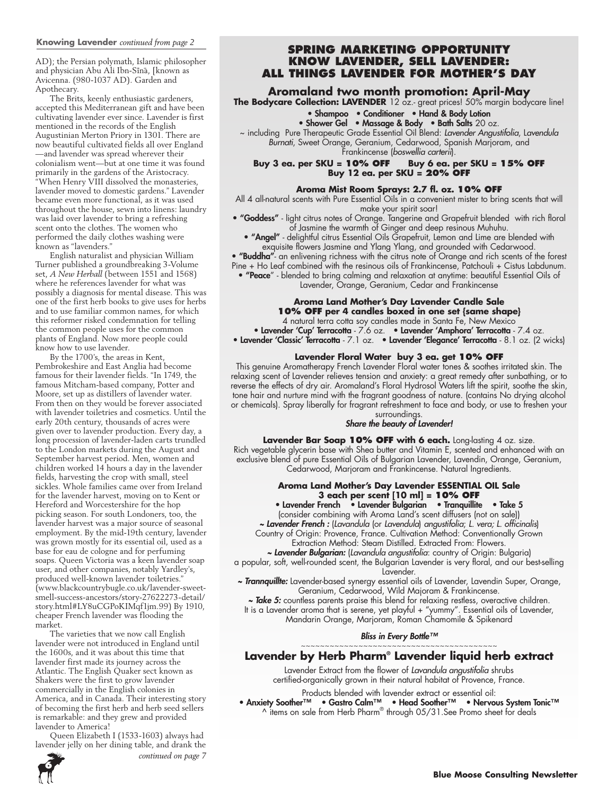AD); the Persian polymath, Islamic philosopher and physician Abu Ali Ibn-Sīnā, [known as Avicenna. (980-1037 AD). Garden and Apothecary.

The Brits, keenly enthusiastic gardeners, accepted this Mediterranean gift and have been cultivating lavender ever since. Lavender is first mentioned in the records of the English Augustinian Merton Priory in 1301. There are now beautiful cultivated fields all over England —and lavender was spread wherever their colonialism went—but at one time it was found primarily in the gardens of the Aristocracy. When Henry VIII dissolved the monasteries, lavender moved to domestic gardens." Lavender became even more functional, as it was used throughout the house, sewn into linens: laundry was laid over lavender to bring a refreshing scent onto the clothes. The women who performed the daily clothes washing were known as "lavenders."

English naturalist and physician William Turner published a groundbreaking 3-Volume set, *A New Herball* (between 1551 and 1568) where he references lavender for what was possibly a diagnosis for mental disease. This was one of the first herb books to give uses for herbs and to use familiar common names, for which this reformer risked condemnation for telling the common people uses for the common plants of England. Now more people could know how to use lavender.

By the 1700's, the areas in Kent, Pembrokeshire and East Anglia had become famous for their lavender fields. "In 1749, the famous Mitcham-based company, Potter and Moore, set up as distillers of lavender water. From then on they would be forever associated with lavender toiletries and cosmetics. Until the early 20th century, thousands of acres were given over to lavender production. Every day, a long procession of lavender-laden carts trundled to the London markets during the August and September harvest period. Men, women and children worked 14 hours a day in the lavender fields, harvesting the crop with small, steel sickles. Whole families came over from Ireland for the lavender harvest, moving on to Kent or Hereford and Worcestershire for the hop picking season. For south Londoners, too, the lavender harvest was a major source of seasonal employment. By the mid-19th century, lavender was grown mostly for its essential oil, used as a base for eau de cologne and for perfuming soaps. Queen Victoria was a keen lavender soap user, and other companies, notably Yardley's, produced well-known lavender toiletries." (www.blackcountrybugle.co.uk/lavender-sweetsmell-success-ancestors/story-27622273-detail/ story.html#LY8uCGPoKIMqf1jm.99) By 1910, cheaper French lavender was flooding the market.

The varieties that we now call English lavender were not introduced in England until the 1600s, and it was about this time that lavender first made its journey across the Atlantic. The English Quaker sect known as Shakers were the first to grow lavender commercially in the English colonies in America, and in Canada. Their interesting story of becoming the first herb and herb seed sellers is remarkable: and they grew and provided lavender to America!

Queen Elizabeth I (1533-1603) always had lavender jelly on her dining table, and drank the

**Spring Marketing Opportunity Know Lavender, Sell Lavender: all things Lavender for Mother's Day**

**Aromaland two month promotion: April-May**<br>**The Bodycare Collection: LAVENDER** 12 oz.- great prices! 50% margin bodycare line!

### • Shampoo • Conditioner • Hand & Body Lotion

• Shower Gel • Massage & Body • Bath Salts 20 oz.

~ including Pure Therapeutic Grade Essential Oil Blend: *Lavender Angustifolia*, L*avendula Burnati*, Sweet Orange, Geranium, Cedarwood, Spanish Marjoram, and Frankincense (*boswellia carterii*).

**Buy 3 ea. per SKU = 10% OFF Buy 6 ea. per SKU = 15% OFF Buy 12 ea. per SKU = 20% OFF**

### **Aroma Mist Room Sprays: 2.7 fl. oz. 10% OFF**

All 4 all-natural scents with Pure Essential Oils in a convenient mister to bring scents that will make your spirit soar!

• **"Goddess"** - light citrus notes of Orange. Tangerine and Grapefruit blended with rich floral of Jasmine the warmth of Ginger and deep resinous Muhuhu.

• "Angel" - delightful citrus Essential Oils Grapefruit, Lemon and Lime are blended with exquisite flowers Jasmine and Ylang Ylang, and grounded with Cedarwood.

• "Buddha"- an enlivening richness with the citrus note of Orange and rich scents of the forest

Pine + Ho Leaf combined with the resinous oils of Frankincense, Patchouli + Cistus Labdunum. • "Peace" - blended to bring calming and relaxation at anytime: beautiful Essential Oils of

Lavender, Orange, Geranium, Cedar and Frankincense

### **Aroma Land Mother's Day Lavender Candle Sale 10% OFF per 4 candles boxed in one set {same shape}**

4 natural terra cotta soy candles made in Santa Fe, New Mexico

• Lavender 'Cup' Terracotta - 7.6 oz. • Lavender 'Amphora' Terracotta - 7.4 oz.

• Lavender 'Classic' Terracotta - 7.1 oz. • Lavender 'Elegance' Terracotta - 8.1 oz. (2 wicks)

### **Lavender Floral Water buy 3 ea. get 10% OFF**

This genuine Aromatherapy French Lavender Floral water tones & soothes irritated skin. The relaxing scent of Lavender relieves tension and anxiety: a great remedy after sunbathing, or to reverse the effects of dry air. Aromaland's Floral Hydrosol Waters lift the spirit, soothe the skin, tone hair and nurture mind with the fragrant goodness of nature. (contains No drying alcohol or chemicals). Spray liberally for fragrant refreshment to face and body, or use to freshen your surroundings.

### *Share the beauty of Lavender!*

**Lavender Bar Soap 10% OFF with 6 each.** Long-lasting 4 oz. size. Rich vegetable glycerin base with Shea butter and Vitamin E, scented and enhanced with an exclusive blend of pure Essential Oils of Bulgarian Lavender, Lavendin, Orange, Geranium, Cedarwood, Marjoram and Frankincense. Natural Ingredients.

### **Aroma Land Mother's Day Lavender ESSENTIAL OIL Sale 3 each per scent [10 ml] = 10% OFF**

• Lavender French • Lavender Bulgarian • Tranquillite • Take 5

(consider combining with Aroma Land's scent diffusers (not on sale))

*~ Lavender French :* (*Lavandula* (or *Lavendula*) *angustifolia*; *L. vera; L. officinalis*)

Country of Origin: Provence, France. Cultivation Method: Conventionally Grown Extraction Method: Steam Distilled. Extracted From: Flowers.

*~ Lavender Bulgarian:* (*Lavandula angustifolia*: country of Origin: Bulgaria)

a popular, soft, well-rounded scent, the Bulgarian Lavender is very floral, and our best-selling Lavender.

*~ Trannquillte:* Lavender-based synergy essential oils of Lavender, Lavendin Super, Orange, Geranium, Cedarwood, Wild Majoram & Frankincense.

*~ Take 5:* countless parents praise this blend for relaxing restless, overactive children. It is a Lavender aroma that is serene, yet playful + "yummy". Essential oils of Lavender, Mandarin Orange, Marjoram, Roman Chamomile & Spikenard

### *Bliss in Every Bottle™*

### ~~~~~~~~~~~~~~~~~~~~~~~~~~~~~~~~~~~~~~~~~ **Lavender by Herb Pharm® Lavender liquid herb extract**

Lavender Extract from the flower of *Lavandula angustifolia* shrubs certified-organically grown in their natural habitat of Provence, France.

Products blended with lavender extract or essential oil:

• Anxiety Soother™ • Gastro Calm™ • Head Soother™ • Nervous System Tonic™  $^{\wedge}$  items on sale from Herb Pharm® through 05/31.See Promo sheet for deals

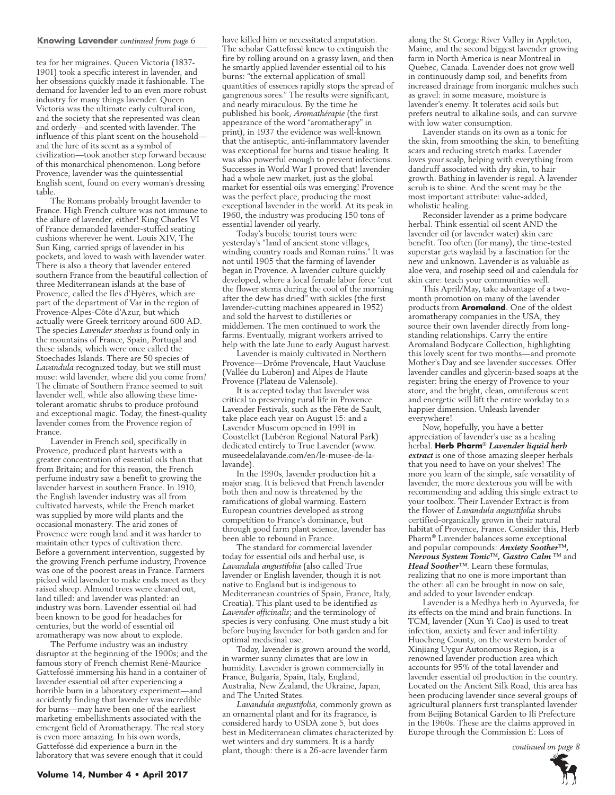### **Knowing Lavender** *continued from page 6*

tea for her migraines. Queen Victoria (1837- 1901) took a specific interest in lavender, and her obsessions quickly made it fashionable. The demand for lavender led to an even more robust industry for many things lavender. Queen Victoria was the ultimate early cultural icon, and the society that she represented was clean and orderly—and scented with lavender. The influence of this plant scent on the household and the lure of its scent as a symbol of civilization—took another step forward because of this monarchical phenomenon. Long before Provence, lavender was the quintessential English scent, found on every woman's dressing table.

The Romans probably brought lavender to France. High French culture was not immune to the allure of lavender, either! King Charles VI of France demanded lavender-stuffed seating cushions wherever he went. Louis XIV, The Sun King, carried sprigs of lavender in his pockets, and loved to wash with lavender water. There is also a theory that lavender entered southern France from the beautiful collection of three Mediterranean islands at the base of Provence, called the Iles d'Hyères, which are part of the department of Var in the region of Provence-Alpes-Côte d'Azur, but which actually were Greek territory around 600 AD. The species *Lavender stoechas* is found only in the mountains of France, Spain, Portugal and these islands, which were once called the Stoechades Islands. There are 50 species of *Lavandula* recognized today, but we still must muse: wild lavender, where did you come from? The climate of Southern France seemed to suit lavender well, while also allowing these limetolerant aromatic shrubs to produce profound and exceptional magic. Today, the finest-quality lavender comes from the Provence region of France.

Lavender in French soil, specifically in Provence, produced plant harvests with a greater concentration of essential oils than that from Britain; and for this reason, the French perfume industry saw a benefit to growing the lavender harvest in southern France. In 1910, the English lavender industry was all from cultivated harvests, while the French market was supplied by more wild plants and the occasional monastery. The arid zones of Provence were rough land and it was harder to maintain other types of cultivation there. Before a government intervention, suggested by the growing French perfume industry, Provence was one of the poorest areas in France. Farmers picked wild lavender to make ends meet as they raised sheep. Almond trees were cleared out, land tilled: and lavender was planted: an industry was born. Lavender essential oil had been known to be good for headaches for centuries, but the world of essential oil aromatherapy was now about to explode.

The Perfume industry was an industry disruptor at the beginning of the 1900s; and the famous story of French chemist René-Maurice Gattefossé immersing his hand in a container of lavender essential oil after experiencing a horrible burn in a laboratory experiment—and accidently finding that lavender was incredible for burns—may have been one of the earliest marketing embellishments associated with the emergent field of Aromatherapy. The real story is even more amazing. In his own words, Gattefossé did experience a burn in the laboratory that was severe enough that it could

have killed him or necessitated amputation. The scholar Gattefossé knew to extinguish the fire by rolling around on a grassy lawn, and then he smartly applied lavender essential oil to his burns: "the external application of small quantities of essences rapidly stops the spread of gangrenous sores." The results were significant, and nearly miraculous. By the time he published his book, *Aromathérapie* (the first appearance of the word "aromatherapy" in print), in 1937 the evidence was well-known that the antiseptic, anti-inflammatory lavender was exceptional for burns and tissue healing. It was also powerful enough to prevent infections. Successes in World War I proved that! lavender had a whole new market, just as the global market for essential oils was emerging! Provence was the perfect place, producing the most exceptional lavender in the world. At its peak in 1960, the industry was producing 150 tons of essential lavender oil yearly.

Today's bucolic tourist tours were yesterday's "land of ancient stone villages, winding country roads and Roman ruins." It was not until 1905 that the farming of lavender began in Provence. A lavender culture quickly developed, where a local female labor force "cut the flower stems during the cool of the morning after the dew has dried" with sickles (the first lavender-cutting machines appeared in 1952) and sold the harvest to distilleries or middlemen. The men continued to work the farms. Eventually, migrant workers arrived to help with the late June to early August harvest.

Lavender is mainly cultivated in Northern Provence—Drôme Provencale, Haut Vaucluse (Vallée du Lubéron) and Alpes de Haute Provence (Plateau de Valensole).

It is accepted today that lavender was critical to preserving rural life in Provence. Lavender Festivals, such as the Fête de Sault, take place each year on August 15: and a Lavender Museum opened in 1991 in Coustellet (Lubéron Regional Natural Park) dedicated entirely to True Lavender (www. museedelalavande.com/en/le-musee-de-lalavande).

In the 1990s, lavender production hit a major snag. It is believed that French lavender both then and now is threatened by the ramifications of global warming. Eastern European countries developed as strong competition to France's dominance, but through good farm plant science, lavender has been able to rebound in France.

The standard for commercial lavender today for essential oils and herbal use, is *Lavandula angustifolia* (also called True lavender or English lavender, though it is not native to England but is indigenous to Mediterranean countries of Spain, France, Italy, Croatia). This plant used to be identified as *Lavender officinalis*; and the terminology of species is very confusing. One must study a bit before buying lavender for both garden and for optimal medicinal use.

Today, lavender is grown around the world, in warmer sunny climates that are low in humidity. Lavender is grown commercially in France, Bulgaria, Spain, Italy, England, Australia, New Zealand, the Ukraine, Japan, and The United States.

*Lavandula angustifolia*, commonly grown as an ornamental plant and for its fragrance, is considered hardy to USDA zone 5, but does best in Mediterranean climates characterized by wet winters and dry summers. It is a hardy plant, though: there is a 26-acre lavender farm

along the St George River Valley in Appleton, Maine, and the second biggest lavender growing farm in North America is near Montreal in Quebec, Canada. Lavender does not grow well in continuously damp soil, and benefits from increased drainage from inorganic mulches such as gravel: in some measure, moisture is lavender's enemy. It tolerates acid soils but prefers neutral to alkaline soils, and can survive with low water consumption.

Lavender stands on its own as a tonic for the skin, from smoothing the skin, to benefiting scars and reducing stretch marks. Lavender loves your scalp, helping with everything from dandruff associated with dry skin, to hair growth. Bathing in lavender is regal. A lavender scrub is to shine. And the scent may be the most important attribute: value-added, wholistic healing.

Reconsider lavender as a prime bodycare herbal. Think essential oil scent AND the lavender oil (or lavender water) skin care benefit. Too often (for many), the time-tested superstar gets waylaid by a fascination for the new and unknown. Lavender is as valuable as aloe vera, and rosehip seed oil and calendula for skin care: teach your communities well.

This April/May, take advantage of a twomonth promotion on many of the lavender products from **Aromaland**. One of the oldest aromatherapy companies in the USA, they source their own lavender directly from longstanding relationships. Carry the entire Aromaland Bodycare Collection, highlighting this lovely scent for two months—and promote Mother's Day and see lavender successes. Offer lavender candles and glycerin-based soaps at the register: bring the energy of Provence to your store, and the bright, clean, omniferous scent and energetic will lift the entire workday to a happier dimension. Unleash lavender everywhere!

Now, hopefully, you have a better appreciation of lavender's use as a healing herbal. **Herb Pharm**® *Lavender liquid herb extract* is one of those amazing sleeper herbals that you need to have on your shelves! The more you learn of the simple, safe versatility of lavender, the more dexterous you will be with recommending and adding this single extract to your toolbox. Their Lavender Extract is from the flower of *Lavandula angustifolia* shrubs certified-organically grown in their natural habitat of Provence, France. Consider this, Herb Pharm® Lavender balances some exceptional and popular compounds: *Anxiety Soother™, Nervous System Tonic™, Gastro Calm ™* and *Head Soother™*. Learn these formulas, realizing that no one is more important than the other: all can be brought in now on sale, and added to your lavender endcap.

Lavender is a Medhya herb in Ayurveda, for its effects on the mind and brain functions. In TCM, lavender (Xun Yi Cao) is used to treat infection, anxiety and fever and infertility. Huocheng County, on the western border of Xinjiang Uygur Autonomous Region, is a renowned lavender production area which accounts for 95% of the total lavender and lavender essential oil production in the country. Located on the Ancient Silk Road, this area has been producing lavender since several groups of agricultural planners first transplanted lavender from Beijing Botanical Garden to Ili Prefecture in the 1960s. These are the claims approved in Europe through the Commission E: Loss of

*continued on page 8*